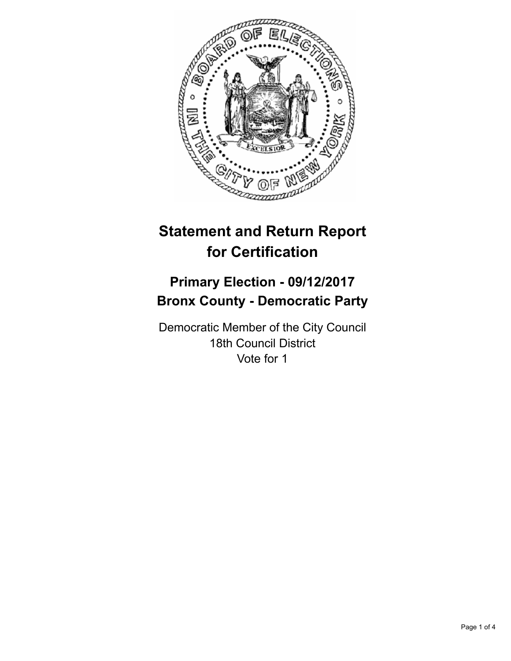

# **Statement and Return Report for Certification**

## **Primary Election - 09/12/2017 Bronx County - Democratic Party**

Democratic Member of the City Council 18th Council District Vote for 1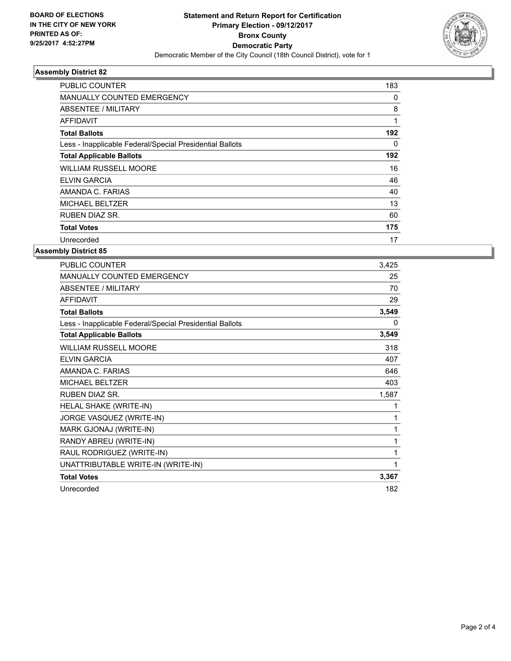

### **Assembly District 82**

| PUBLIC COUNTER                                           | 183          |
|----------------------------------------------------------|--------------|
| <b>MANUALLY COUNTED EMERGENCY</b>                        | 0            |
| ABSENTEE / MILITARY                                      | 8            |
| <b>AFFIDAVIT</b>                                         | $\mathbf{1}$ |
| <b>Total Ballots</b>                                     | 192          |
| Less - Inapplicable Federal/Special Presidential Ballots | 0            |
| <b>Total Applicable Ballots</b>                          | 192          |
| <b>WILLIAM RUSSELL MOORE</b>                             | 16           |
| <b>ELVIN GARCIA</b>                                      | 46           |
| AMANDA C. FARIAS                                         | 40           |
| <b>MICHAEL BELTZER</b>                                   | 13           |
| <b>RUBEN DIAZ SR.</b>                                    | 60           |
| <b>Total Votes</b>                                       | 175          |
| Unrecorded                                               | 17           |

### **Assembly District 85**

| <b>PUBLIC COUNTER</b>                                    | 3,425    |
|----------------------------------------------------------|----------|
| MANUALLY COUNTED EMERGENCY                               | 25       |
| <b>ABSENTEE / MILITARY</b>                               | 70       |
| <b>AFFIDAVIT</b>                                         | 29       |
| <b>Total Ballots</b>                                     | 3,549    |
| Less - Inapplicable Federal/Special Presidential Ballots | $\Omega$ |
| <b>Total Applicable Ballots</b>                          | 3,549    |
| <b>WILLIAM RUSSELL MOORE</b>                             | 318      |
| <b>ELVIN GARCIA</b>                                      | 407      |
| AMANDA C. FARIAS                                         | 646      |
| MICHAEL BELTZER                                          | 403      |
| <b>RUBEN DIAZ SR.</b>                                    | 1,587    |
| HELAL SHAKE (WRITE-IN)                                   | 1        |
| JORGE VASQUEZ (WRITE-IN)                                 | 1        |
| MARK GJONAJ (WRITE-IN)                                   | 1        |
| RANDY ABREU (WRITE-IN)                                   | 1        |
| RAUL RODRIGUEZ (WRITE-IN)                                | 1        |
| UNATTRIBUTABLE WRITE-IN (WRITE-IN)                       | 1        |
| <b>Total Votes</b>                                       | 3,367    |
| Unrecorded                                               | 182      |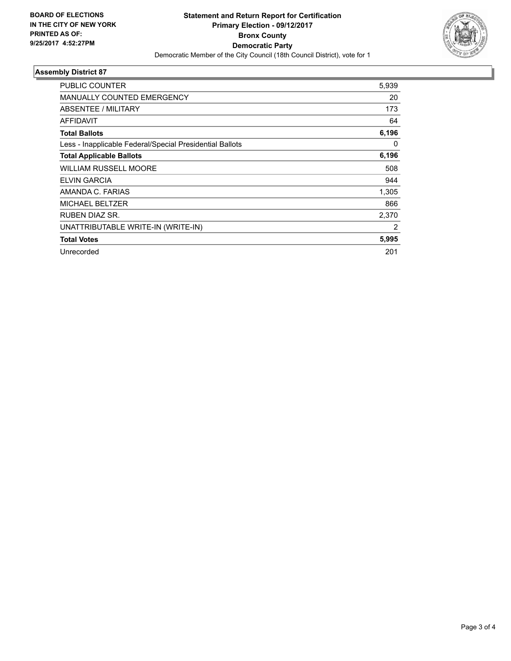

### **Assembly District 87**

| PUBLIC COUNTER                                           | 5,939          |
|----------------------------------------------------------|----------------|
| <b>MANUALLY COUNTED EMERGENCY</b>                        | 20             |
| ABSENTEE / MILITARY                                      | 173            |
| <b>AFFIDAVIT</b>                                         | 64             |
| <b>Total Ballots</b>                                     | 6,196          |
| Less - Inapplicable Federal/Special Presidential Ballots | 0              |
| <b>Total Applicable Ballots</b>                          | 6,196          |
| <b>WILLIAM RUSSELL MOORE</b>                             | 508            |
| ELVIN GARCIA                                             | 944            |
| AMANDA C. FARIAS                                         | 1,305          |
| <b>MICHAEL BELTZER</b>                                   | 866            |
| <b>RUBEN DIAZ SR.</b>                                    | 2,370          |
| UNATTRIBUTABLE WRITE-IN (WRITE-IN)                       | $\overline{2}$ |
| <b>Total Votes</b>                                       | 5,995          |
| Unrecorded                                               | 201            |